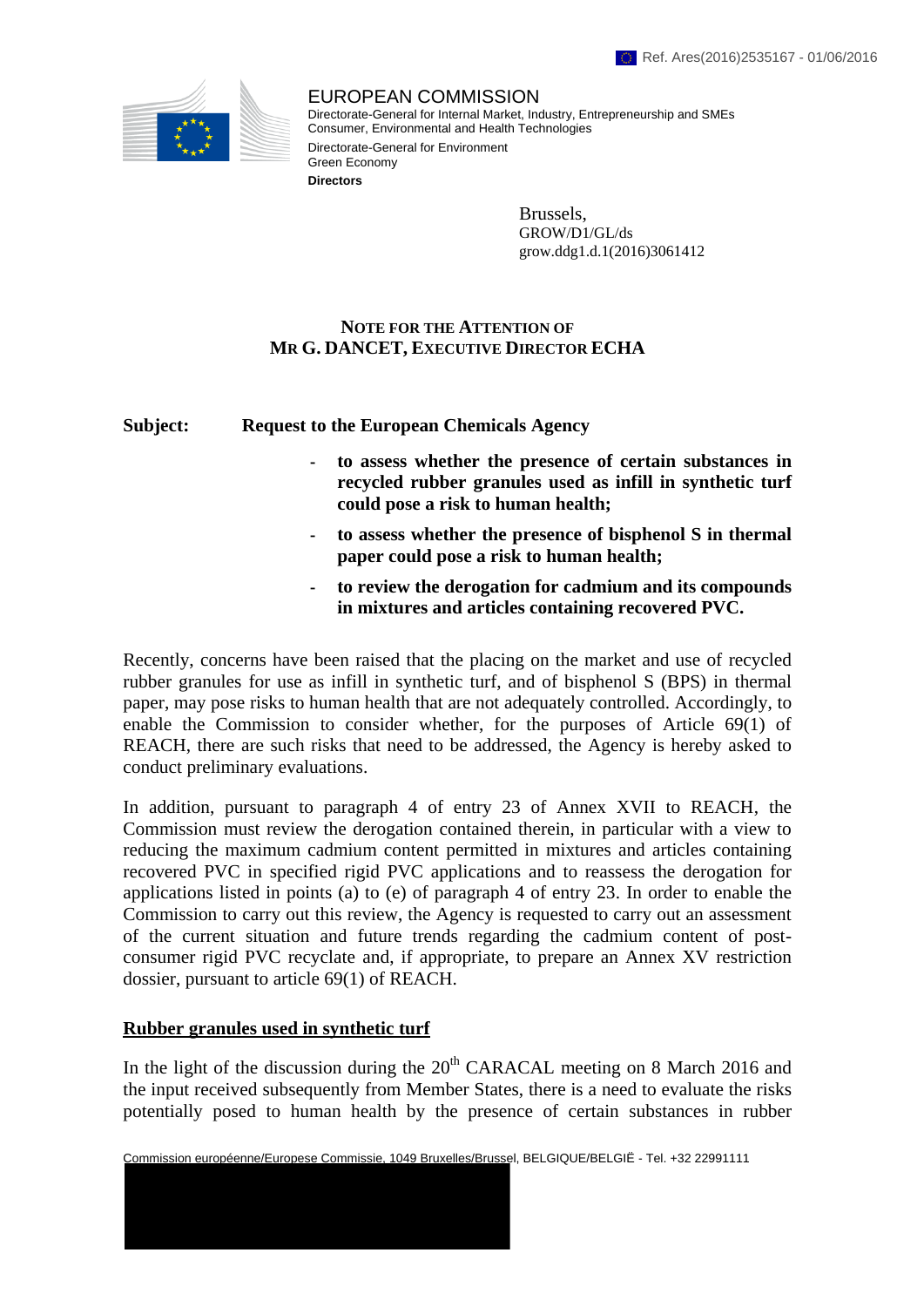

EUROPEAN COMMISSION Directorate-General for Internal Market, Industry, Entrepreneurship and SMEs Consumer, Environmental and Health Technologies Directorate-General for Environment Green Economy **Directors**

> Brussels, GROW/D1/GL/ds grow.ddg1.d.1(2016)3061412

# **NOTE FOR THE ATTENTION OF MR G. DANCET, EXECUTIVE DIRECTOR ECHA**

## **Subject: Request to the European Chemicals Agency**

- **to assess whether the presence of certain substances in recycled rubber granules used as infill in synthetic turf could pose a risk to human health;**
- **to assess whether the presence of bisphenol S in thermal paper could pose a risk to human health;**
- **to review the derogation for cadmium and its compounds in mixtures and articles containing recovered PVC.**

Recently, concerns have been raised that the placing on the market and use of recycled rubber granules for use as infill in synthetic turf, and of bisphenol S (BPS) in thermal paper, may pose risks to human health that are not adequately controlled. Accordingly, to enable the Commission to consider whether, for the purposes of Article 69(1) of REACH, there are such risks that need to be addressed, the Agency is hereby asked to conduct preliminary evaluations.

In addition, pursuant to paragraph 4 of entry 23 of Annex XVII to REACH, the Commission must review the derogation contained therein, in particular with a view to reducing the maximum cadmium content permitted in mixtures and articles containing recovered PVC in specified rigid PVC applications and to reassess the derogation for applications listed in points (a) to (e) of paragraph 4 of entry 23. In order to enable the Commission to carry out this review, the Agency is requested to carry out an assessment of the current situation and future trends regarding the cadmium content of postconsumer rigid PVC recyclate and, if appropriate, to prepare an Annex XV restriction dossier, pursuant to article 69(1) of REACH.

## **Rubber granules used in synthetic turf**

In the light of the discussion during the  $20<sup>th</sup> CARACAL$  meeting on 8 March 2016 and the input received subsequently from Member States, there is a need to evaluate the risks potentially posed to human health by the presence of certain substances in rubber

Commission européenne/Europese Commissie, 1049 Bruxelles/Brussel, BELGIQUE/BELGIË - Tel. +32 22991111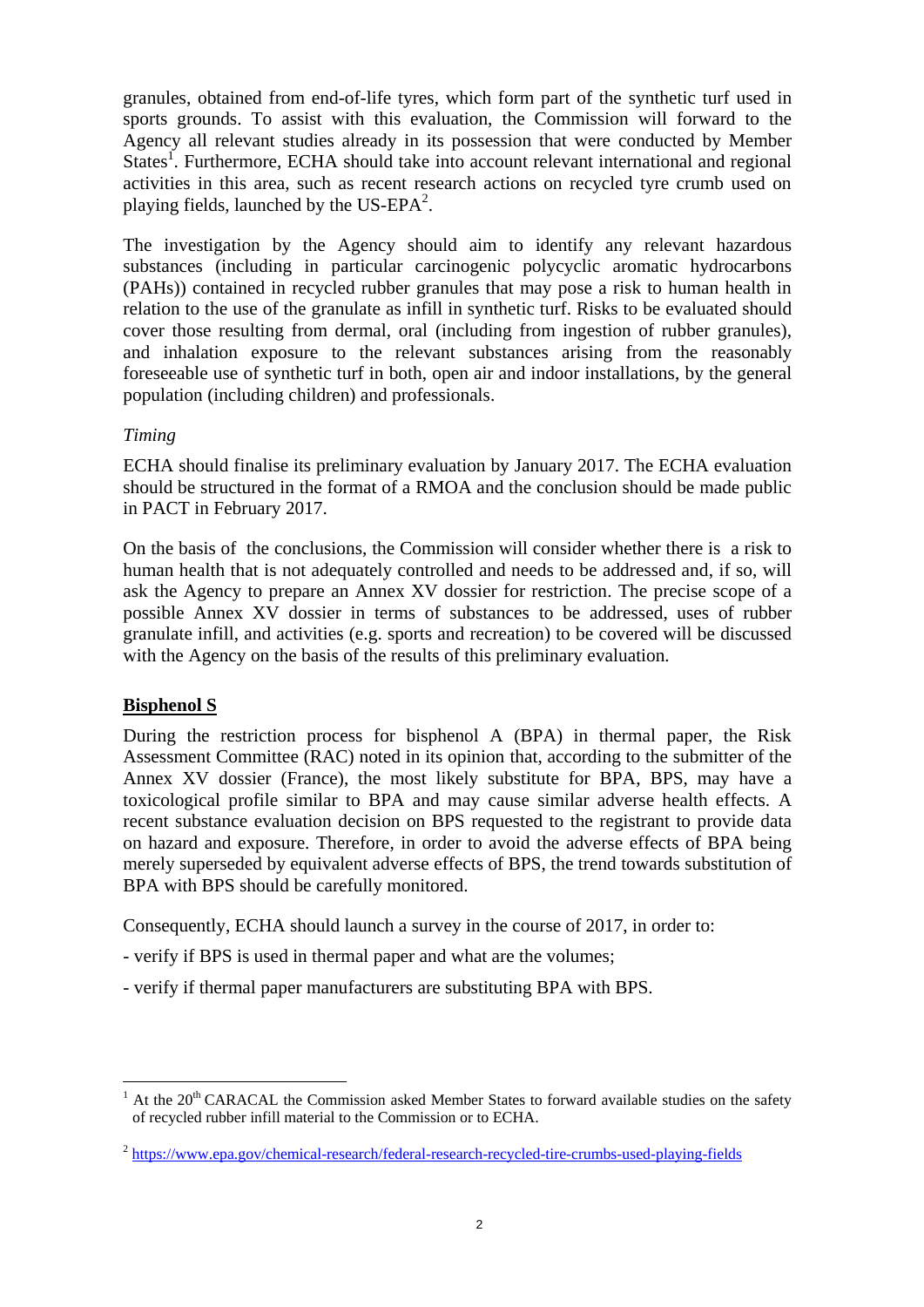granules, obtained from end-of-life tyres, which form part of the synthetic turf used in sports grounds. To assist with this evaluation, the Commission will forward to the Agency all relevant studies already in its possession that were conducted by Member States<sup>1</sup>. Furthermore, ECHA should take into account relevant international and regional activities in this area, such as recent research actions on recycled tyre crumb used on playing fields, launched by the US-EPA<sup>2</sup>.

The investigation by the Agency should aim to identify any relevant hazardous substances (including in particular carcinogenic polycyclic aromatic hydrocarbons (PAHs)) contained in recycled rubber granules that may pose a risk to human health in relation to the use of the granulate as infill in synthetic turf. Risks to be evaluated should cover those resulting from dermal, oral (including from ingestion of rubber granules), and inhalation exposure to the relevant substances arising from the reasonably foreseeable use of synthetic turf in both, open air and indoor installations, by the general population (including children) and professionals.

## *Timing*

ECHA should finalise its preliminary evaluation by January 2017. The ECHA evaluation should be structured in the format of a RMOA and the conclusion should be made public in PACT in February 2017.

On the basis of the conclusions, the Commission will consider whether there is a risk to human health that is not adequately controlled and needs to be addressed and, if so, will ask the Agency to prepare an Annex XV dossier for restriction. The precise scope of a possible Annex XV dossier in terms of substances to be addressed, uses of rubber granulate infill, and activities (e.g. sports and recreation) to be covered will be discussed with the Agency on the basis of the results of this preliminary evaluation.

# **Bisphenol S**

 $\overline{a}$ 

During the restriction process for bisphenol A (BPA) in thermal paper, the Risk Assessment Committee (RAC) noted in its opinion that, according to the submitter of the Annex XV dossier (France), the most likely substitute for BPA, BPS, may have a toxicological profile similar to BPA and may cause similar adverse health effects. A recent substance evaluation decision on BPS requested to the registrant to provide data on hazard and exposure. Therefore, in order to avoid the adverse effects of BPA being merely superseded by equivalent adverse effects of BPS, the trend towards substitution of BPA with BPS should be carefully monitored.

Consequently, ECHA should launch a survey in the course of 2017, in order to:

- verify if BPS is used in thermal paper and what are the volumes;
- verify if thermal paper manufacturers are substituting BPA with BPS.

At the 20<sup>th</sup> CARACAL the Commission asked Member States to forward available studies on the safety of recycled rubber infill material to the Commission or to ECHA.

<sup>&</sup>lt;sup>2</sup> https://www.epa.gov/chemical-research/federal-research-recycled-tire-crumbs-used-playing-fields